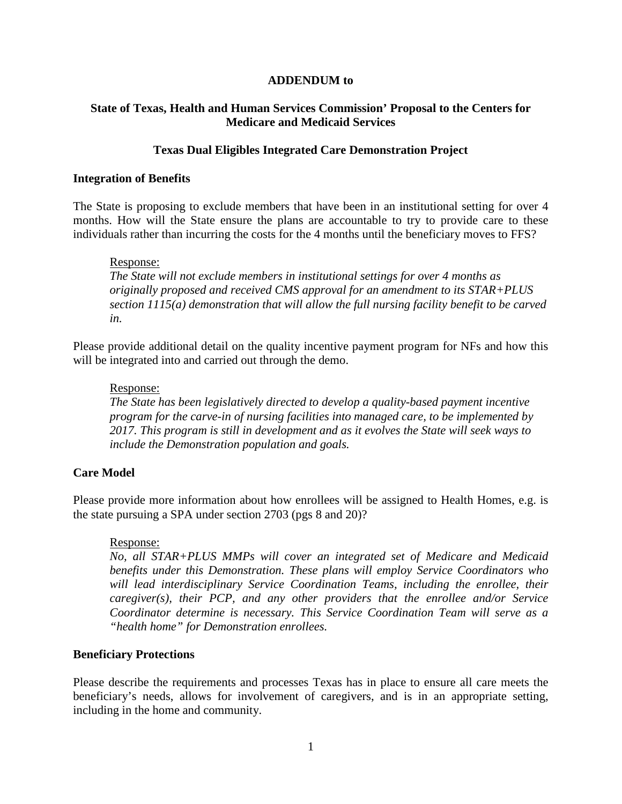## **ADDENDUM to**

# **State of Texas, Health and Human Services Commission' Proposal to the Centers for Medicare and Medicaid Services**

# **Texas Dual Eligibles Integrated Care Demonstration Project**

## **Integration of Benefits**

The State is proposing to exclude members that have been in an institutional setting for over 4 months. How will the State ensure the plans are accountable to try to provide care to these individuals rather than incurring the costs for the 4 months until the beneficiary moves to FFS?

## Response:

*The State will not exclude members in institutional settings for over 4 months as originally proposed and received CMS approval for an amendment to its STAR+PLUS section 1115(a) demonstration that will allow the full nursing facility benefit to be carved in.* 

Please provide additional detail on the quality incentive payment program for NFs and how this will be integrated into and carried out through the demo.

## Response:

*The State has been legislatively directed to develop a quality-based payment incentive program for the carve-in of nursing facilities into managed care, to be implemented by 2017. This program is still in development and as it evolves the State will seek ways to include the Demonstration population and goals.* 

# **Care Model**

Please provide more information about how enrollees will be assigned to Health Homes, e.g. is the state pursuing a SPA under section 2703 (pgs 8 and 20)?

# Response:

*No, all STAR+PLUS MMPs will cover an integrated set of Medicare and Medicaid benefits under this Demonstration. These plans will employ Service Coordinators who will lead interdisciplinary Service Coordination Teams, including the enrollee, their caregiver(s), their PCP, and any other providers that the enrollee and/or Service Coordinator determine is necessary. This Service Coordination Team will serve as a "health home" for Demonstration enrollees.*

#### **Beneficiary Protections**

Please describe the requirements and processes Texas has in place to ensure all care meets the beneficiary's needs, allows for involvement of caregivers, and is in an appropriate setting, including in the home and community.